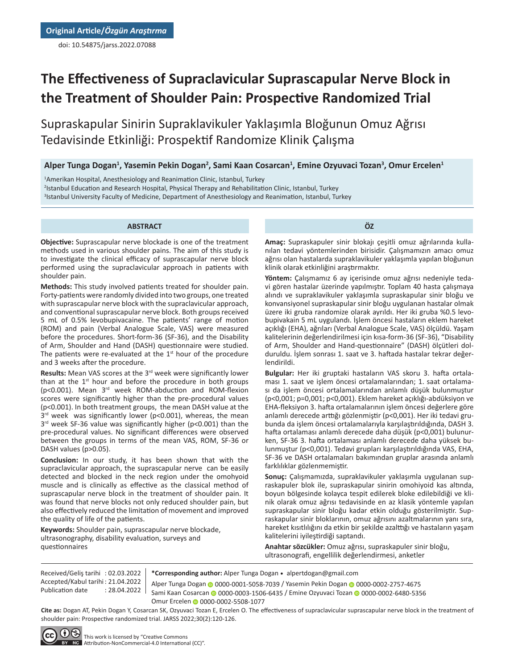doi: 10.54875/jarss.2022.07088

# **The Effectiveness of Supraclavicular Suprascapular Nerve Block in the Treatment of Shoulder Pain: Prospective Randomized Trial**

Supraskapular Sinirin Supraklavikuler Yaklaşımla Bloğunun Omuz Ağrısı Tedavisinde Etkinliği: Prospektif Randomize Klinik Çalışma

# **Alper Tunga Dogan<sup>1</sup> , Yasemin Pekin Dogan<sup>2</sup> , Sami Kaan Cosarcan<sup>1</sup> , Emine Ozyuvaci Tozan<sup>3</sup> , Omur Ercelen<sup>1</sup>**

1 Amerikan Hospital, Anesthesiology and Reanimation Clinic, Istanbul, Turkey 2 Istanbul Education and Research Hospital, Physical Therapy and Rehabilitation Clinic, Istanbul, Turkey 3 Istanbul University Faculty of Medicine, Department of Anesthesiology and Reanimation, Istanbul, Turkey

#### **ABSTRACT**

**Objective:** Suprascapular nerve blockade is one of the treatment methods used in various shoulder pains. The aim of this study is to investigate the clinical efficacy of suprascapular nerve block performed using the supraclavicular approach in patients with shoulder pain.

**Methods:** This study involved patients treated for shoulder pain. Forty-patients were randomly divided into two groups, one treated with suprascapular nerve block with the supraclavicular approach, and conventional suprascapular nerve block. Both groups received 5 mL of 0.5% levobupivacaine. The patients' range of motion (ROM) and pain (Verbal Analogue Scale, VAS) were measured before the procedures. Short-form-36 (SF-36), and the Disability of Arm, Shoulder and Hand (DASH) questionnaire were studied. The patients were re-evaluated at the  $1<sup>st</sup>$  hour of the procedure and 3 weeks after the procedure.

**Results:** Mean VAS scores at the 3rd week were significantly lower than at the  $1<sup>st</sup>$  hour and before the procedure in both groups (p<0.001). Mean 3rd week ROM-abduction and ROM-flexion scores were significantly higher than the pre-procedural values (p<0.001). In both treatment groups, the mean DASH value at the  $3<sup>rd</sup>$  week was significantly lower (p<0.001), whereas, the mean 3<sup>rd</sup> week SF-36 value was significantly higher (p<0.001) than the pre-procedural values. No significant differences were observed between the groups in terms of the mean VAS, ROM, SF-36 or DASH values (p>0.05).

**Conclusion:** In our study, it has been shown that with the supraclavicular approach, the suprascapular nerve can be easily detected and blocked in the neck region under the omohyoid muscle and is clinically as effective as the classical method of suprascapular nerve block in the treatment of shoulder pain. It was found that nerve blocks not only reduced shoulder pain, but also effectively reduced the limitation of movement and improved the quality of life of the patients.

**Keywords:** Shoulder pain, suprascapular nerve blockade, ultrasonography, disability evaluation, surveys and questionnaires

**ÖZ**

**Amaç:** Supraskapuler sinir blokajı çeşitli omuz ağrılarında kullanılan tedavi yöntemlerinden birisidir. Çalışmamızın amacı omuz ağrısı olan hastalarda supraklavikuler yaklaşımla yapılan bloğunun klinik olarak etkinliğini araştırmaktır.

**Yöntem:** Çalışmamız 6 ay içerisinde omuz ağrısı nedeniyle tedavi gören hastalar üzerinde yapılmıştır. Toplam 40 hasta çalışmaya alındı ve supraklavikuler yaklaşımla supraskapular sinir bloğu ve konvansiyonel supraskapular sinir bloğu uygulanan hastalar olmak üzere iki gruba randomize olarak ayrıldı. Her iki gruba %0.5 levobupivakain 5 mL uygulandı. İşlem öncesi hastaların eklem hareket açıklığı (EHA), ağrıları (Verbal Analogue Scale, VAS) ölçüldü. Yaşam kalitelerinin değerlendirilmesi için kısa-form-36 (SF-36), "Disability of Arm, Shoulder and Hand-questionnaire" (DASH) ölçütleri dolduruldu. İşlem sonrası 1. saat ve 3. haftada hastalar tekrar değerlendirildi.

**Bulgular:** Her iki gruptaki hastaların VAS skoru 3. hafta ortalaması 1. saat ve işlem öncesi ortalamalarından; 1. saat ortalaması da işlem öncesi ortalamalarından anlamlı düşük bulunmuştur (p<0,001; p=0,001; p<0,001). Eklem hareket açıklığı-abdüksiyon ve EHA-fleksiyon 3. hafta ortalamalarının işlem öncesi değerlere göre anlamlı derecede arttığı gözlenmiştir (p<0,001). Her iki tedavi grubunda da işlem öncesi ortalamalarıyla karşılaştırıldığında, DASH 3. hafta ortalaması anlamlı derecede daha düşük (p<0,001) bulunurken, SF-36 3. hafta ortalaması anlamlı derecede daha yüksek bulunmuştur (p<0,001). Tedavi grupları karşılaştırıldığında VAS, EHA, SF-36 ve DASH ortalamaları bakımından gruplar arasında anlamlı farklılıklar gözlenmemiştir.

**Sonuç:** Çalışmamızda, supraklavikuler yaklaşımla uygulanan supraskapuler blok ile, supraskapular sinirin omohiyoid kas altında, boyun bölgesinde kolayca tespit edilerek bloke edilebildiği ve klinik olarak omuz ağrısı tedavisinde en az klasik yöntemle yapılan supraskapular sinir bloğu kadar etkin olduğu gösterilmiştir. Supraskapular sinir bloklarının, omuz ağrısını azaltmalarının yanı sıra, hareket kısıtlılığını da etkin bir şekilde azalttığı ve hastaların yaşam kalitelerini iyileştirdiği saptandı.

**Anahtar sözcükler:** Omuz ağrısı, supraskapuler sinir bloğu, ultrasonografi, engellilik değerlendirmesi, anketler

Received/Geliş tarihi : 02.03.2022 Accepted/Kabul tarihi : 21.04.2022 Publication date : 28.04.2022

AlperTunga Dogan @ [0](https://orcid.org/0000-0002-6480-5356)000-0001-5058-7039 / Yasemin Pekin Dogan @ 0000-0002-2757-4675 Sami Kaan Co[sar](https://orcid.org/0000-0002-5508-1077)can 0000-0003-1506-6435 / Emine Ozyuvaci Tozan 0000-0002-6480-5356 Omur Ercelen @ 0000-0002-5508-1077

**Cite as:** Dogan AT, Pekin Dogan Y, Cosarcan SK, Ozyuvaci Tozan E, Ercelen O. The effectiveness of supraclavicular suprascapular nerve block in the treatment of shoulder pain: Prospective randomized trial. JARSS 2022;30(2):120-126.

**\*Corresponding author:** Alper Tunga Dogan • alpertdogan@gmail.com



This work is licensed by "Creative Commons BY NC Attribution-NonCommercial-4.0 International (CC)".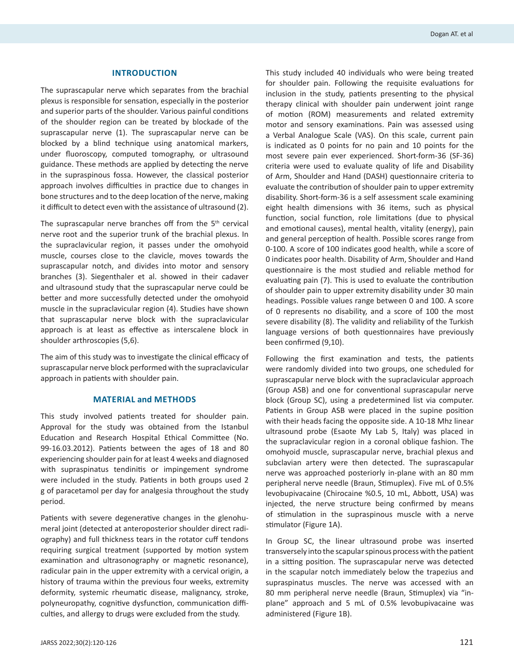#### **INTRODUCTION**

The suprascapular nerve which separates from the brachial plexus is responsible for sensation, especially in the posterior and superior parts of the shoulder. Various painful conditions of the shoulder region can be treated by blockade of the suprascapular nerve (1). The suprascapular nerve can be blocked by a blind technique using anatomical markers, under fluoroscopy, computed tomography, or ultrasound guidance. These methods are applied by detecting the nerve in the supraspinous fossa. However, the classical posterior approach involves difficulties in practice due to changes in bone structures and to the deep location of the nerve, making it difficult to detect even with the assistance of ultrasound (2).

The suprascapular nerve branches off from the  $5<sup>th</sup>$  cervical nerve root and the superior trunk of the brachial plexus. In the supraclavicular region, it passes under the omohyoid muscle, courses close to the clavicle, moves towards the suprascapular notch, and divides into motor and sensory branches (3). Siegenthaler et al. showed in their cadaver and ultrasound study that the suprascapular nerve could be better and more successfully detected under the omohyoid muscle in the supraclavicular region (4). Studies have shown that suprascapular nerve block with the supraclavicular approach is at least as effective as interscalene block in shoulder arthroscopies (5,6).

The aim of this study was to investigate the clinical efficacy of suprascapular nerve block performed with the supraclavicular approach in patients with shoulder pain.

# **MATERIAL and METHODS**

This study involved patients treated for shoulder pain. Approval for the study was obtained from the Istanbul Education and Research Hospital Ethical Committee (No. 99-16.03.2012). Patients between the ages of 18 and 80 experiencing shoulder pain for at least 4 weeks and diagnosed with supraspinatus tendinitis or impingement syndrome were included in the study. Patients in both groups used 2 g of paracetamol per day for analgesia throughout the study period.

Patients with severe degenerative changes in the glenohumeral joint (detected at anteroposterior shoulder direct radiography) and full thickness tears in the rotator cuff tendons requiring surgical treatment (supported by motion system examination and ultrasonography or magnetic resonance), radicular pain in the upper extremity with a cervical origin, a history of trauma within the previous four weeks, extremity deformity, systemic rheumatic disease, malignancy, stroke, polyneuropathy, cognitive dysfunction, communication difficulties, and allergy to drugs were excluded from the study.

This study included 40 individuals who were being treated for shoulder pain. Following the requisite evaluations for inclusion in the study, patients presenting to the physical therapy clinical with shoulder pain underwent joint range of motion (ROM) measurements and related extremity motor and sensory examinations. Pain was assessed using a Verbal Analogue Scale (VAS). On this scale, current pain is indicated as 0 points for no pain and 10 points for the most severe pain ever experienced. Short-form-36 (SF-36) criteria were used to evaluate quality of life and Disability of Arm, Shoulder and Hand (DASH) questionnaire criteria to evaluate the contribution of shoulder pain to upper extremity disability. Short-form-36 is a self assessment scale examining eight health dimensions with 36 items, such as physical function, social function, role limitations (due to physical and emotional causes), mental health, vitality (energy), pain and general perception of health. Possible scores range from 0-100. A score of 100 indicates good health, while a score of 0 indicates poor health. Disability of Arm, Shoulder and Hand questionnaire is the most studied and reliable method for evaluating pain (7). This is used to evaluate the contribution of shoulder pain to upper extremity disability under 30 main headings. Possible values range between 0 and 100. A score of 0 represents no disability, and a score of 100 the most severe disability (8). The validity and reliability of the Turkish language versions of both questionnaires have previously been confirmed (9,10).

Following the first examination and tests, the patients were randomly divided into two groups, one scheduled for suprascapular nerve block with the supraclavicular approach (Group ASB) and one for conventional suprascapular nerve block (Group SC), using a predetermined list via computer. Patients in Group ASB were placed in the supine position with their heads facing the opposite side. A 10-18 Mhz linear ultrasound probe (Esaote My Lab 5, Italy) was placed in the supraclavicular region in a coronal oblique fashion. The omohyoid muscle, suprascapular nerve, brachial plexus and subclavian artery were then detected. The suprascapular nerve was approached posteriorly in-plane with an 80 mm peripheral nerve needle (Braun, Stimuplex). Five mL of 0.5% levobupivacaine (Chirocaine %0.5, 10 mL, Abbott, USA) was injected, the nerve structure being confirmed by means of stimulation in the supraspinous muscle with a nerve stimulator (Figure 1A).

In Group SC, the linear ultrasound probe was inserted transversely into the scapular spinous process with the patient in a sitting position. The suprascapular nerve was detected in the scapular notch immediately below the trapezius and supraspinatus muscles. The nerve was accessed with an 80 mm peripheral nerve needle (Braun, Stimuplex) via "inplane" approach and 5 mL of 0.5% levobupivacaine was administered (Figure 1B).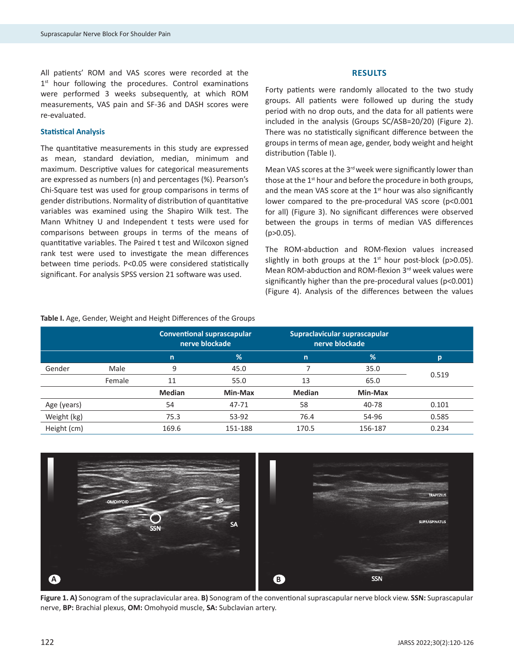All patients' ROM and VAS scores were recorded at the 1<sup>st</sup> hour following the procedures. Control examinations were performed 3 weeks subsequently, at which ROM measurements, VAS pain and SF-36 and DASH scores were re-evaluated.

## **Statistical Analysis**

The quantitative measurements in this study are expressed as mean, standard deviation, median, minimum and maximum. Descriptive values for categorical measurements are expressed as numbers (n) and percentages (%). Pearson's Chi-Square test was used for group comparisons in terms of gender distributions. Normality of distribution of quantitative variables was examined using the Shapiro Wilk test. The Mann Whitney U and Independent t tests were used for comparisons between groups in terms of the means of quantitative variables. The Paired t test and Wilcoxon signed rank test were used to investigate the mean differences between time periods. P<0.05 were considered statistically significant. For analysis SPSS version 21 software was used.

#### **RESULTS**

Forty patients were randomly allocated to the two study groups. All patients were followed up during the study period with no drop outs, and the data for all patients were included in the analysis (Groups SC/ASB=20/20) (Figure 2). There was no statistically significant difference between the groups in terms of mean age, gender, body weight and height distribution (Table I).

Mean VAS scores at the 3<sup>rd</sup> week were significantly lower than those at the 1<sup>st</sup> hour and before the procedure in both groups, and the mean VAS score at the  $1<sup>st</sup>$  hour was also significantly lower compared to the pre-procedural VAS score (p<0.001 for all) (Figure 3). No significant differences were observed between the groups in terms of median VAS differences (p>0.05).

The ROM-abduction and ROM-flexion values increased slightly in both groups at the  $1^{st}$  hour post-block (p>0.05). Mean ROM-abduction and ROM-flexion 3rd week values were significantly higher than the pre-procedural values (p<0.001) (Figure 4). Analysis of the differences between the values

|             |        | <b>Conventional suprascapular</b><br>nerve blockade |           | Supraclavicular suprascapular<br>nerve blockade |         |       |
|-------------|--------|-----------------------------------------------------|-----------|-------------------------------------------------|---------|-------|
|             |        | n                                                   | %         | $\mathsf{n}$                                    | %       | D     |
| Gender      | Male   | 9                                                   | 45.0      |                                                 | 35.0    | 0.519 |
|             | Female | 11                                                  | 55.0      | 13                                              | 65.0    |       |
|             |        | <b>Median</b>                                       | Min-Max   | <b>Median</b>                                   | Min-Max |       |
| Age (years) |        | 54                                                  | $47 - 71$ | 58                                              | 40-78   | 0.101 |
| Weight (kg) |        | 75.3                                                | 53-92     | 76.4                                            | 54-96   | 0.585 |
| Height (cm) |        | 169.6                                               | 151-188   | 170.5                                           | 156-187 | 0.234 |

**Table I.** Age, Gender, Weight and Height Differences of the Groups



**Figure 1. A)** Sonogram of the supraclavicular area. **B)** Sonogram of the conventional suprascapular nerve block view. **SSN:** Suprascapular nerve, **BP:** Brachial plexus, **OM:** Omohyoid muscle, **SA:** Subclavian artery.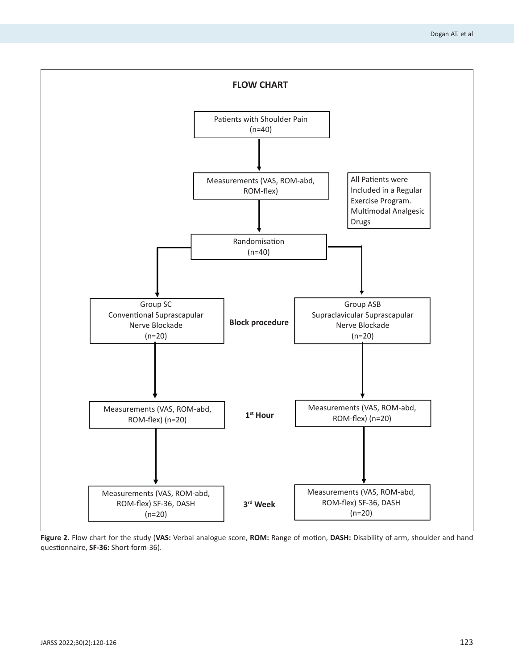

**Figure 2.** Flow chart for the study (**VAS:** Verbal analogue score, **ROM:** Range of motion, **DASH:** Disability of arm, shoulder and hand questionnaire, **SF-36:** Short-form-36).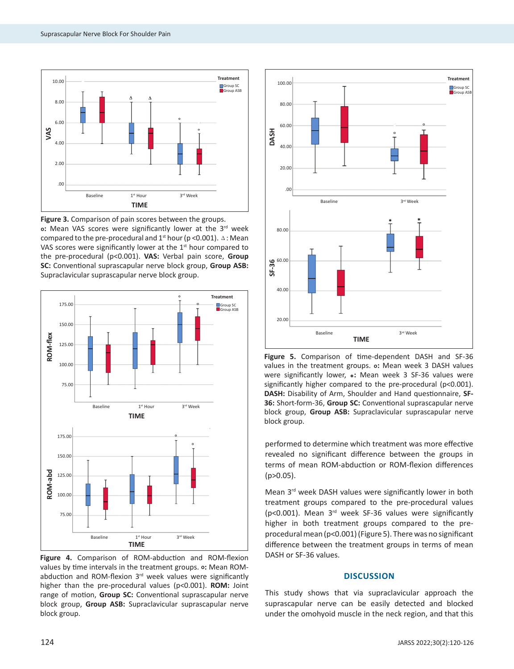

**Figure 3.** Comparison of pain scores between the groups. **o**: Mean VAS scores were significantly lower at the 3<sup>rd</sup> week compared to the pre-procedural and  $1^{st}$  hour (p < 0.001).  $\triangle$  : Mean VAS scores were significantly lower at the  $1<sup>st</sup>$  hour compared to the pre-procedural (p<0.001). **VAS:** Verbal pain score, **Group SC:** Conventional suprascapular nerve block group, **Group ASB:** Supraclavicular suprascapular nerve block group.



**Figure 4.** Comparison of ROM-abduction and ROM-flexion values by time intervals in the treatment groups. **o:** Mean ROMabduction and ROM-flexion  $3<sup>rd</sup>$  week values were significantly higher than the pre-procedural values (p<0.001). **ROM:** Joint range of motion, **Group SC:** Conventional suprascapular nerve block group, **Group ASB:** Supraclavicular suprascapular nerve block group.



**Figure 5.** Comparison of time-dependent DASH and SF-36 values in the treatment groups. **O:** Mean week 3 DASH values were significantly lower, **\*:** Mean week 3 SF-36 values were significantly higher compared to the pre-procedural (p<0.001). **DASH:** Disability of Arm, Shoulder and Hand questionnaire, **SF-36:** Short-form-36, **Group SC:** Conventional suprascapular nerve block group, **Group ASB:** Supraclavicular suprascapular nerve block group.

performed to determine which treatment was more effective revealed no significant difference between the groups in terms of mean ROM-abduction or ROM-flexion differences (p>0.05).

Mean 3rd week DASH values were significantly lower in both treatment groups compared to the pre-procedural values (p<0.001). Mean 3rd week SF-36 values were significantly higher in both treatment groups compared to the preprocedural mean (p<0.001) (Figure 5). There was no significant difference between the treatment groups in terms of mean DASH or SF-36 values.

# **DISCUSSION**

This study shows that via supraclavicular approach the suprascapular nerve can be easily detected and blocked under the omohyoid muscle in the neck region, and that this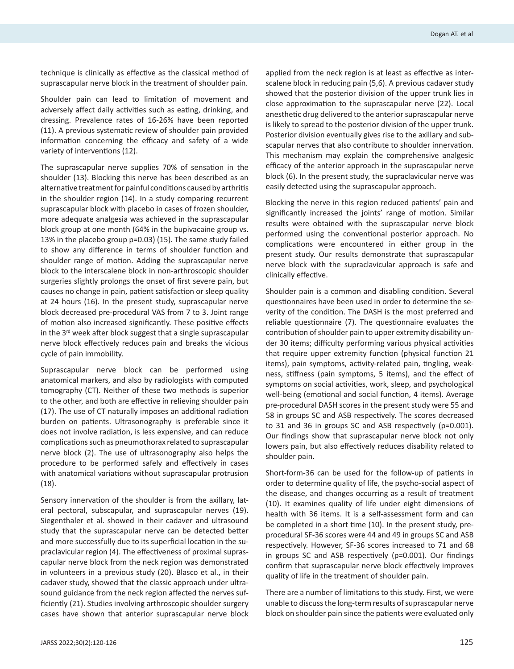technique is clinically as effective as the classical method of suprascapular nerve block in the treatment of shoulder pain.

Shoulder pain can lead to limitation of movement and adversely affect daily activities such as eating, drinking, and dressing. Prevalence rates of 16-26% have been reported (11). A previous systematic review of shoulder pain provided information concerning the efficacy and safety of a wide variety of interventions (12).

The suprascapular nerve supplies 70% of sensation in the shoulder (13). Blocking this nerve has been described as an alternative treatment for painful conditions caused by arthritis in the shoulder region (14). In a study comparing recurrent suprascapular block with placebo in cases of frozen shoulder, more adequate analgesia was achieved in the suprascapular block group at one month (64% in the bupivacaine group vs. 13% in the placebo group p=0.03) (15). The same study failed to show any difference in terms of shoulder function and shoulder range of motion. Adding the suprascapular nerve block to the interscalene block in non-arthroscopic shoulder surgeries slightly prolongs the onset of first severe pain, but causes no change in pain, patient satisfaction or sleep quality at 24 hours (16). In the present study, suprascapular nerve block decreased pre-procedural VAS from 7 to 3. Joint range of motion also increased significantly. These positive effects in the 3<sup>rd</sup> week after block suggest that a single suprascapular nerve block effectively reduces pain and breaks the vicious cycle of pain immobility.

Suprascapular nerve block can be performed using anatomical markers, and also by radiologists with computed tomography (CT). Neither of these two methods is superior to the other, and both are effective in relieving shoulder pain (17). The use of CT naturally imposes an additional radiation burden on patients. Ultrasonography is preferable since it does not involve radiation, is less expensive, and can reduce complications such as pneumothorax related to suprascapular nerve block (2). The use of ultrasonography also helps the procedure to be performed safely and effectively in cases with anatomical variations without suprascapular protrusion (18).

Sensory innervation of the shoulder is from the axillary, lateral pectoral, subscapular, and suprascapular nerves (19). Siegenthaler et al. showed in their cadaver and ultrasound study that the suprascapular nerve can be detected better and more successfully due to its superficial location in the supraclavicular region (4). The effectiveness of proximal suprascapular nerve block from the neck region was demonstrated in volunteers in a previous study (20). Blasco et al., in their cadaver study, showed that the classic approach under ultrasound guidance from the neck region affected the nerves sufficiently (21). Studies involving arthroscopic shoulder surgery cases have shown that anterior suprascapular nerve block applied from the neck region is at least as effective as interscalene block in reducing pain (5,6). A previous cadaver study showed that the posterior division of the upper trunk lies in close approximation to the suprascapular nerve (22). Local anesthetic drug delivered to the anterior suprascapular nerve is likely to spread to the posterior division of the upper trunk. Posterior division eventually gives rise to the axillary and subscapular nerves that also contribute to shoulder innervation. This mechanism may explain the comprehensive analgesic efficacy of the anterior approach in the suprascapular nerve block (6). In the present study, the supraclavicular nerve was easily detected using the suprascapular approach.

Blocking the nerve in this region reduced patients' pain and significantly increased the joints' range of motion. Similar results were obtained with the suprascapular nerve block performed using the conventional posterior approach. No complications were encountered in either group in the present study. Our results demonstrate that suprascapular nerve block with the supraclavicular approach is safe and clinically effective.

Shoulder pain is a common and disabling condition. Several questionnaires have been used in order to determine the severity of the condition. The DASH is the most preferred and reliable questionnaire (7). The questionnaire evaluates the contribution of shoulder pain to upper extremity disability under 30 items; difficulty performing various physical activities that require upper extremity function (physical function 21 items), pain symptoms, activity-related pain, tingling, weakness, stiffness (pain symptoms, 5 items), and the effect of symptoms on social activities, work, sleep, and psychological well-being (emotional and social function, 4 items). Average pre-procedural DASH scores in the present study were 55 and 58 in groups SC and ASB respectively. The scores decreased to 31 and 36 in groups SC and ASB respectively (p=0.001). Our findings show that suprascapular nerve block not only lowers pain, but also effectively reduces disability related to shoulder pain.

Short-form-36 can be used for the follow-up of patients in order to determine quality of life, the psycho-social aspect of the disease, and changes occurring as a result of treatment (10). It examines quality of life under eight dimensions of health with 36 items. It is a self-assessment form and can be completed in a short time (10). In the present study, preprocedural SF-36 scores were 44 and 49 in groups SC and ASB respectively. However, SF-36 scores increased to 71 and 68 in groups SC and ASB respectively (p=0.001). Our findings confirm that suprascapular nerve block effectively improves quality of life in the treatment of shoulder pain.

There are a number of limitations to this study. First, we were unable to discuss the long-term results of suprascapular nerve block on shoulder pain since the patients were evaluated only